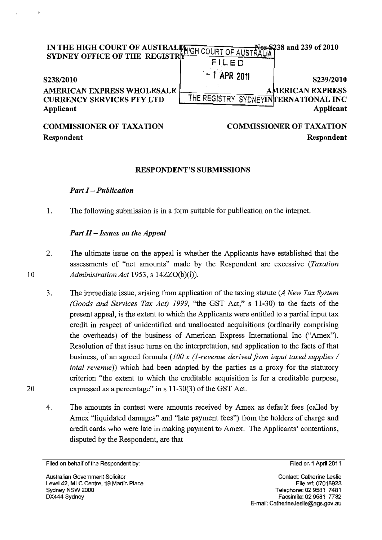| SYDNEY OFFICE OF THE REGISTRE                                                      | IN THE HIGH COURT OF AUSTRAL PHIGH COURT OF AUSTRALIA 1<br>FILED             |  |
|------------------------------------------------------------------------------------|------------------------------------------------------------------------------|--|
| S238/2010                                                                          | $-1$ APR 2011<br>S239/2010                                                   |  |
| <b>AMERICAN EXPRESS WHOLESALE</b><br><b>CURRENCY SERVICES PTY LTD</b><br>Applicant | <b>AMERICAN EXPRESS</b><br>THE REGISTRY SYDNEYINTERNATIONAL INC<br>Applicant |  |
| COMMISSIONED OF TAVATION                                                           | COMMISSIONED OF TAVATION                                                     |  |

## COMMISSIONER OF TAXATION Respondent

UMMISSIONEK OF TAXATIV Respondent

## RESPONDENT'S SUBMISSIONS

## *Part I* - *Publication*

1. The following submission is in a form suitable for publication on the internet.

## *Part II* - *Issues on the Appeal*

- 2. The ultimate issue on the appeal is whether the Applicants have established that the assessments of "net amounts" made by the Respondent are excessive *(Taxation*  10 *Administration Act* 1953, s 14ZZ0(b)(i)).
	- 3. The immediate issue, arising from application of the taxing statute *(A New Tax System (Goods and Services Tax Act)* 1999, "the GST Act," s 11-30) to the facts of the present appeal, is the extent to which the Applicants were entitled to a partial input tax credit in respect of unidentified and unallocated acquisitions (ordinarily comprising the overheads) of the business of American Express International Inc ("Amex"). Resolution of that issue turns on the interpretation, and application to the facts of that business, of an agreed formula (100 x (1-revenue derived from input taxed supplies / *total revenue))* which had been adopted by the parties as a proxy for the statutory criterion "the extent to which the creditable acquisition is for a creditable purpose, expressed as a percentage" in s 11-30(3) of the GST Act.
	- 4. The amounts in contest were amounts received by Amex as default fees (called by Amex "liquidated damages" and "late payment fees") from the holders of charge and credit cards who were late in making payment to Amex. The Applicants' contentions, disputed by the Respondent, are that

20

 $\cdot$ 

Filed on 1 April 2011

Filed on behalf of the Respondent by: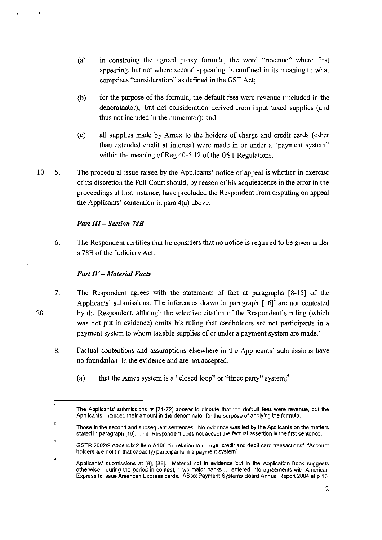- (a) in construing the agreed proxy fonnula, the word "revenue" where first appearing, but not where second appearing, is confined in its meaning to what comprises "consideration" as defined in the GST Act;
- (b) for the purpose of the fonnula, the default fees were revenue (included in the denominator), but not consideration derived from input taxed supplies (and thus not included in the numerator); and
- (c) all supplies made by Amex to the holders of charge and credit cards (other than extended credit at interest) were made in or under a "payment system" within the meaning of Reg 40-5.12 of the GST Regulations.
- 10 5. The procedural issue raised by the Applicants' notice of appeal is whether in exercise of its discretion the Full Court should, by reason of his acquiescence in the error in the proceedings at first instance, have precluded the Respondent from disputing on appeal the Applicants' contention in para 4(a) above.

## *Part 111* - *Section 78B*

6. The Respondent certifies that he considers that no notice is required to be given under s 78B of the Judiciary Act.

## *Part IV-Material Facts*

- 7. The Respondent agrees with the statements of fact at paragraphs [8-15] of the Applicants' submissions. The inferences drawn in paragraph  $[16]$ <sup>2</sup> are not contested by the Respondent, although the selective citation of the Respondent's ruling (which was not put in evidence) omits his ruling that cardholders are not participants in a payment system to whom taxable supplies of or under a payment system are made.<sup>3</sup>
- 8. Factual contentions and assumptions elsewhere in the Applicants' submissions have no foundation in the evidence and are not accepted:
	- (a) that the Amex system is a "closed loop" or "three party" system;  $4$

20

2

 $\mathbf{1}$ 

The Applicants' submissions at [71-72] appear to dispute that the default fees were revenue, but the Applicants included their amount in the denominator for the purpose of applying the formula.

Those in the second and subsequent sentences. No evidence was led by the Applicants on the matters stated in paragraph [16]. The Respondent does not accept the factual assertion in the first sentence.

<sup>3</sup>  GSTR *2002/2* Appendix 2 item A1 00, "in relation to charge, credit and debit card transactions": "Account holders are not (in that capacity) participants in a payment system"

<sup>4</sup>  Applicants' submissions at [8], [38]. Material not in evidence but in the Application Book suggests otherwise: during the period in contest, "Two major banks ... entered into agreements with American Express to issue American Express cards," AB xx Payment Systems Board Annual Report 2004 at p 13.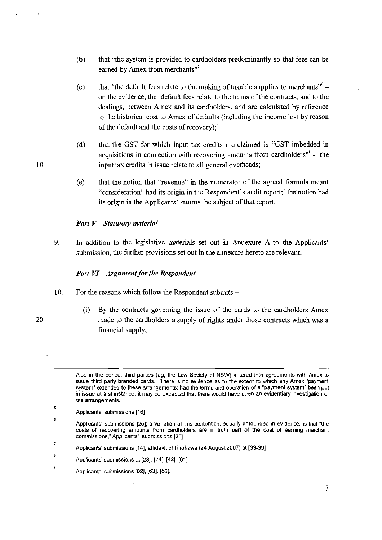- (b) that "the system is provided to cardholders predominantly so that fees can be earned by Amex from merchants"
- (c) that "the default fees relate to the making of taxable supplies to merchants"  $$ on the evidence, the default fees relate to the terms of the contracts, and to the dealings, between Amex and its cardholders, and are calculated by reference to the historical cost to Arnex of defaults (including the income lost by reason of the default and the costs of recovery);<sup>7</sup>
- (d) that the GST for which input tax credits are claimed is "GST imbedded in acquisitions in connection with recovering amounts from cardholders<sup> $n<sup>8</sup>$  - the</sup> input tax credits in issue relate to all general overheads;
- (e) that the notion that "revenue" in the numerator of the agreed formula meant "consideration" had its origin in the Respondent's audit report;<sup>9</sup> the notion had its origin in the Applicants' returns the subject of that report.

## *Part V-Statutory material*

9. In addition to the legislative materials set out in Annexure A to the Applicants' submission, the further provisions set out in the annexure hereto are relevant.

## *Part VI* - *Argument for the Respondent*

- 10. For the reasons which follow the Respondent submits –
- 

 $\overline{a}$ 

(i) By the contracts governing the issue of the cards to the cardholders Amex 20 made to the cardholders a supply of rights under those contracts which was a financial supply;

7 Applicants' submissions [14J. affidavit of Hirokawa (24 August 2007) at [33-39J

Also in the period, third parties (eg, the Law Society of NSW) entered into agreements with Amex to **issue third party branded cards. There is no evidence as to the extent to which any Amex "payment**  system" extended to these arrangements; had the terms and operation of a "payment system" been put **in issue at first instance, it may be expected that there would have been an evidentiary investigation of the arrangements.** 

<sup>5</sup>  Applicants' submissions [16J

<sup>6</sup>  **Applicants' submissions [25]; a variation of this contention, equally unfounded in evidence, is that "the costs of recovering amounts from cardholders are in truth part of the cost of earning merchant commissions, n Applicants' submissions [26]** 

<sup>8</sup>  Applicants' submissions at [23], [24], [42], [61]

Applicants' submissions [62], [63], [66].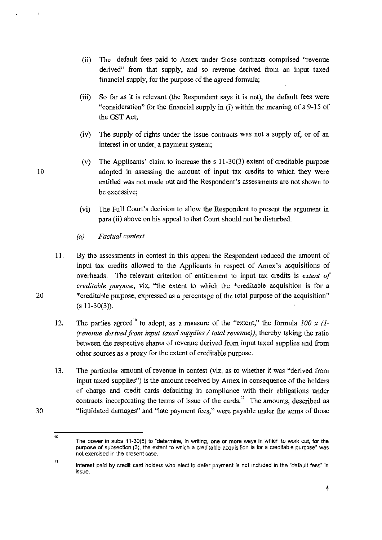- (ii) The default fees paid to Amex under those contracts comprised "revenue derived" from that supply, and so revenue derived from an input taxed financial supply, for the purpose of the agreed formula;
- (iii) So far as it is relevant (the Respondent says it is not), the default fees were "consideration" for the financial supply in (i) within the meaning of s 9-15 of the GST Act;
- (iv) The supply of rights under the issue contracts was not a supply of, or of an interest in or under, a payment system;
- (v) The Applicants' claim to increase the s 11-30(3) extent of creditable purpose 10 adopted in assessing the amount of input tax credits to which they were entitled was not made out and the Respondent's assessments are not shown to be excessive;
	- (vi) The Full Court's decision to allow the Respondent to present the argument in para (ii) above on his appeal to that Court should not be disturbed.
	- *(a) Factual context*

11. By the assessments in contest in this appeal the Respondent reduced the amount of input tax credits allowed to the Applicants in respect of Amex's acquisitions of overheads. The relevant criterion of entitlement to input tax credits is *extent of creditable purpose,* viz, "the extent to which the \*creditable acquisition is for a \*creditable purpose, expressed as a percentage of the total purpose of the acquisition"  $(s 11-30(3))$ .

12. The parties agreed<sup>10</sup> to adopt, as a measure of the "extent," the formula  $100 \times (1 -$ *(revenue derived from input taxed supplies* / *total revenue)),* thereby taking the ratio between the respective shares of revenue derived from input taxed supplies and from other sources as a proxy for the extent of creditable purpose.

13. The particular amount of revenue in contest (viz, as to whether it was "derived from input taxed supplies") is the amount received by Amex in consequence of the holders of charge and credit cards defaulting in compliance with their obligations under contracts incorporating the terms of issue of the cards.<sup>11</sup> The amounts, described as "liquidated damages" and "late payment fees," were payable under the terms of those

30

<sup>10</sup>  The power in subs 11-30(5) to "determine, in writing, one or more ways in which to work out, for the purpose of subsection (3), the extent to which a creditable acquisition is for a creditable purpose" was **not exercised in the present case.** 

Interest paid by credit card holders who elect to defer payment is not included in the "default fees" in **issue.**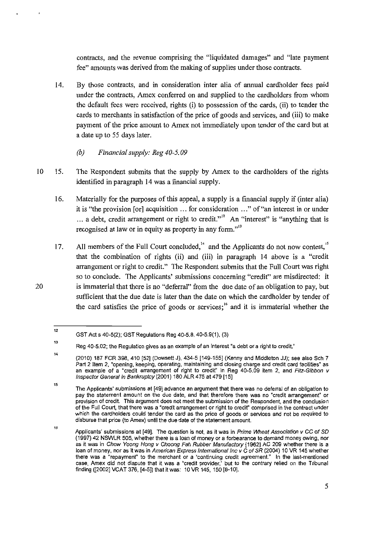contracts, and the revenue comprising the "liquidated damages" and "late payment fee" amounts was derived from the making of supplies under those contracts.

- 14. By those contracts, and in consideration inter alia of annual cardholder fees paid under the contracts, Amex conferred on and supplied to the cardholders from whom the default fees were received, rights (i) to possession of the cards, (ii) to tender the cards to merchants in satisfaction of the price of goods and services, and (iii) to make payment of the price amount to Amex not immediately upon tender of the card but at a date up to 55 days later.
	- *(b) Financial supply: Reg 40-5. 09*
- 10 15. The Respondent submits that the supply by Amex to the cardholders of the rights identified in paragraph 14 was a financial supply.
	- 16. Materially for the purposes of this appeal, a supply is a financial supply if (inter alia) it is "the provision [or] acquisition ... for consideration ... " of "an interest in or under ... a debt, credit arrangement or right to credit."<sup>12</sup> An "interest" is "anything that is recognised at law or in equity as property in any form."<sup>13</sup><br>All members of the Full Court concluded,<sup>14</sup> and the Applicants do no recognised at law or in equity as property in any form. $n^{13}$
	- 17. that the combination of rights (ii) and (iii) in paragraph 14 above is a "credit arrangement or right to credit." The Respondent submits that the Full Court was right so to conclude. The Applicants' submissions concerning "credit" are misdirected: it is immaterial that there is no "deferral" from the due date of an obligation to pay, but sufficient that the due date is later than the date on which the cardholder by tender of the card satisfies the price of goods or services;<sup>16</sup> and it is immaterial whether the

<sup>12</sup>  GST Act s 40-5(2); GST Regulations Reg 40-5.8. 40-5.9(1), (3)

<sup>13</sup>  Reg 40-5.02; the Regulation gives as an example of an interest "a debt or a right to credit."

<sup>14</sup>  (2010) 187 FCR 398,410 [52] (Dowsett J), 434-5 [149-155] (Kenny and Middleton JJ); see also Sch 7 **Part 2 Item 2, "opening, keeping, operating, maintaining and closing charge and credit card facilities" as**  an example of a "credit arrangement of right to credit" in Reg 40-5.09 item 2, and Fitz-Gibbon v Inspector General in Bankruptcy (2001) 180 ALR 475 at 479 [15]

<sup>15</sup>  The Applicants' submissions at [49] advance an argument that there was no deferral of an obligation to pay the statement amount on the due date, and that therefore there was no "credit arrangement" or **provision of credit. This argument does not meet the submission of the Respondent, and the conclusion**  of the Full Court, that there was a "credit arrangement or right to credit" comprised in the contract under which the cardholders could tender the card as the price of goods or services and not be required to disburse that price (to Amex) until the due date of the statement amount.

<sup>16</sup>  Applicants' submissions at [49]. The question is not, as it was in Prime Wheat Association v CC of SD (1997) 42 NSWLR 505, whether there is a loan of money or a forbearance to demand money owing, nor as it was in Chow Yoong Hong v Choong Fah Rubber Manufactory [1962] AC 209 whether there is a loan of money, nor as it was in American Express International Inc v C of SR (2004) 10 VR 145 whether **there was a "repayment" to the merchant or a "continuing credit agreement." In the last-mentioned**  case, Amex did not dispute that it was a "credit provider,' but to the contrary relied on the Tribunal finding ([2002] VCAT 376, [4-5]) that it was: 10 VR 145, 150 [8-10].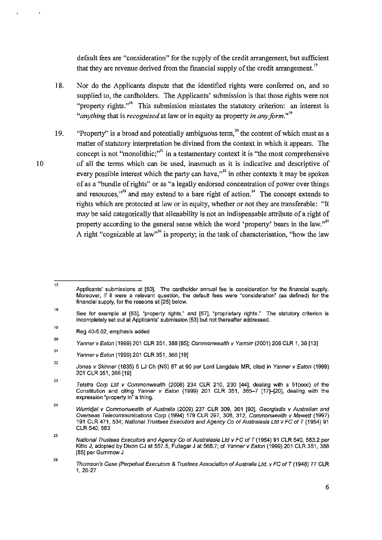default fees are "consideration" for the supply of the credit arrangement, but sufficient that they are revenue derived from the financial supply of the credit arrangement.<sup>17</sup>

- 18. Nor do the Applicants dispute that the identified rights were conferred on, and so supplied to, the cardholders. The Applicants' submission is that those rights were not "property rights."<sup>18</sup> This submission misstates the statutory criterion: an interest is *"anything* that is *recognised* at law or in equity as property *in any jorm."l'*
- 19. "Property" is a broad and potentially ambiguous term,  $20$  the content of which must as a matter of statutory interpretation be divined from the context in which it appears. The concept is not "monolithic;"<sup>21</sup> in a testamentary context it is "the most comprehensive of all the terms which can be used, inasmuch as it is indicative and descriptive of every possible interest which the party can have,"<sup>22</sup> in other contexts it may be spoken of as a "bundle of rights" or as "a legally endorsed concentration of power over things and resources."<sup>3</sup> and may extend to a bare right of action.<sup>24</sup> The concept extends to rights which are protected at law or in equity, whether or not they are transferable: "It may be said categorically that alienability is not an indispensable attribute of a right of property according to the general sense which the word 'property' bears in the law."<sup>25</sup> A right "cognizable at law"<sup>26</sup> is property; in the task of characterisation, "how the law

26

<sup>17</sup>  Applicants' submissions at [50]. The cardholder annual fee is consideration for the financial supply. Moreover, if it were a relevant question, the default fees were "consideration" (as defined) for the financial supply. for the reasons at [25] below.

<sup>18</sup>  See for example at (53). "property rights," and [57]. "proprietary rights." The statutory criterion is incompletely set out at Applicants' submission [53] but not thereafter addressed.

<sup>19</sup>  Reg 40-5.02, emphasis added

<sup>20</sup>  Yanner v Eaton (1999) 201 CLR 351, 388 [85]; Commonwealth v Yarmin (2001) 208 CLR 1, 38 [13]

<sup>21</sup>  Yanner v Eaton (1999) 201 CLR 351, 366 [19]

<sup>22</sup>  Jones v Skinner (1835) 5 LJ Ch (NS) 87 at 90 per Lord Langdale MR, cited in Yanner v Eaton (1999) 201 CLR 351. 366 [19]

<sup>23</sup>  Telstra Corp Ltd v Commonwealth (2008) 234 CLR 210, 230  $[44]$ , dealing with s 51(xxxi) of the Constitution and citing Yanner v Eaton (1999) 201 CLR 351, 365-7 [17]-[20]. dealing with the expression "property in" a thing.

<sup>24</sup>  Wurridjal v Commonwealth of Australia (2009) 237 CLR 309, 361 [90]. Georgiadis v Australian and Overseas Telecommunications Corp (1994) 179 CLR 297, 308, 312, Commonwealth v Mewett (1997) 191 CLR 471, 534; National Trustees Executors and Agency Co of Australasia Lld v FC of T (1954) 91 CLR 540.583

<sup>25</sup>  National Trustees Executors and Agency Co of Australasia Lld v FC of T (1954) 91 CLR 540. 583.2 per Kilto J, adopted by Dixon CJ at 557.5. Fullagar J at 568.7; cf Yanner v Eaton (1999) 201 CLR 351. 388 [85] per Gummow J

Thomson's Case (Perpetual Executors & Trustees Association of Australia Lld. v FC of T (1948) 77 CLR 1,26-27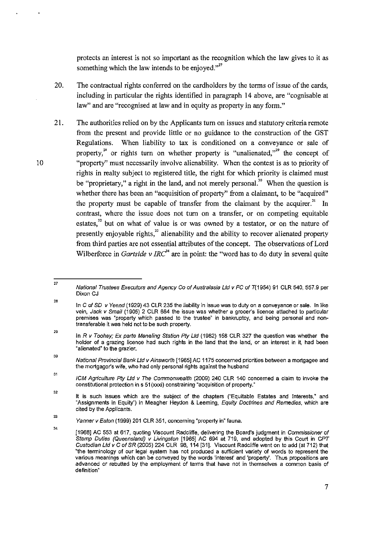protects an interest is not so important as the recognition which the law gives to it as something which the law intends to be enjoyed."<sup>27</sup>

- 20. The contractual rights conferred on the cardholders by the terms of issue of the cards, including in particular the rights identified in paragraph 14 above, are "cognisable at law" and are "recognised at law and in equity as property in any form."
- 21. The authorities relied on by the Applicants turn on issues and statutory criteria remote from the present and provide little or no guidance to the construction of the GST Regulations. When liability to tax is conditioned on a conveyance or sale of property, $^{28}$  or rights turn on whether property is "unalienated."<sup>29</sup> the concept of "property" must necessarily involve alienability. When the contest is as to priority of rights in realty subject to registered title, the right for which priority is claimed must be "proprietary," a right in the land, and not merely personal.<sup>30</sup> When the question is whether there has been an "acquisition of property" from a claimant, to be "acquired" the property must be capable of transfer from the claimant by the acquirer.<sup>31</sup> In contrast, where the issue does not turn on a transfer, or on competing equitable estates, $3<sup>2</sup>$  but on what of value is or was owned by a testator, or on the nature of presently enjoyable rights,<sup>33</sup> alienability and the ability to recover alienated property from third parties are not essential attributes of the concept. The observations of Lord Wilberforce in *Gartside v IRC*<sup>34</sup> are in point: the "word has to do duty in several quite"

<sup>27</sup>  National Trustees Executors and Agency Co of Australasia Lld v FC of T(1954) 91 CLR 540. 557.9 per Dixon CJ

<sup>28</sup>  In C of SD v Yeend (1929) 43 CLR 235 the liability in issue was to duty on a conveyance or sale. In like vein, Jack v Smaif (1905) 2 CLR 684 the issue was whether a grocer's licence attached to particular **premises was "property which passed to the trustee" in bankruptcy, and being personal and non**transferable it was held not to be such property.

<sup>29</sup>  In R v Toohey; Ex parte Meneling Station Pty Ltd (1982) 158 CLR 327 the question was whether the holder of a grazing licence had such rights in the land that the land, or an interest in it, had been "alienated" to the grazier.

<sup>30</sup>  National Provincial Bank Ltd v Ainsworth [1965] AC 1175 concerned priorities between a mortgagee and the mortgagor's wife. who had only personal rights against the husband

<sup>31</sup>  ICM Agriculture Ply Lld v The Commonwealth (2009) 240 CLR 140 concerned a claim to invoke the constitutional protection in s 51 (xxxi) constraining "acquisition of property."

<sup>32</sup>  It is such issues which are the subject of the chapters ("Equitable Estates and Interests," and "Assignments in Equity") in Meagher Heydon & Leeming, Equity Doctrines and Remedies, which are cited by the Applicants.

<sup>33</sup>  Yanner v Eaton (1999) 201 CLR 351, concerning "property in" fauna.

<sup>34</sup>  [1968] AC 553 at 617, quoting Viscount Radcliffe, delivering the Board's judgment in Commissioner of Stamp Duties (Queensland) v Uvingston [1965] AC 694 at 719, and adopted by this Court in CPT Custodian Ltd v C of SR (2005) 224 CLR 98, 114 [31]. Viscount Radcliffe went on to add (at 712) that "the terminology of our legal system has not produced a sufficient variety of words to represent the **various meanings which can be conveyed by the words 'interest' and 'property'. Thus propositions are**  advanced or rebutted by the employment of terms that have not in themselves a common basis of **definition"**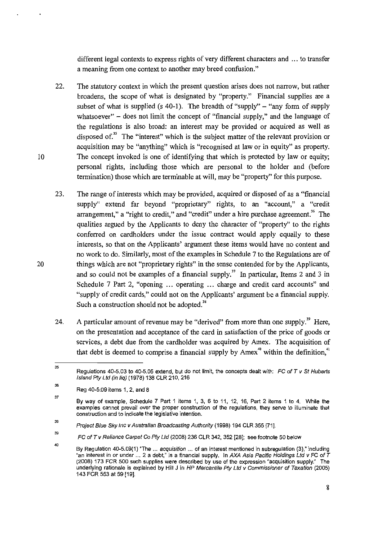different legal contexts to express rights of very different characters and ... to transfer a meaning from one context to another may breed confusion."

- 22. The statutory context in which the present question arises does not narrow, but rather broadens, the scope of what is designated by "property." Financial supplies are a subset of what is supplied (s 40-1). The breadth of "supply"  $-$  "any form of supply" whatsoever"  $-$  does not limit the concept of "financial supply," and the language of the regulations is also broad: an interest may be provided or acquired as well as disposed of.<sup>35</sup> The "interest" which is the subject matter of the relevant provision or acquisition may be "anything" which is "recognised at law or in equity" as property. The concept invoked is one of identifying that which is protected by law or equity; personal rights, including those which are personal to the holder and (before termination) those which are terminable at will, may be "property" for this purpose.
- 23. The range of interests which may be provided, acquired or disposed of as a "financial supply" extend far beyond "proprietary" rights, to an "account," a "credit arrangement," a "right to credit," and "credit" under a hire purchase agreement.<sup>36</sup> The qualities argued by the Applicants to deny the character of "property" to the rights conferred on cardholders under the issue contract would apply equally to these interests, so that on the Applicants' argument these items would have no content and no work to do. Similarly, most of the examples in Schedule 7 to the Regulations are of things which are not "proprietary rights" in the sense contended for by the Applicants, and so could not be examples of a financial supply.<sup>37</sup> In particular, Items 2 and 3 in Schedule 7 Part 2, "opening ... operating ... charge and credit card accounts" and "supply of credit cards," could not on the Applicants' argument be a financial supply. Such a construction should not be adopted.<sup>38</sup>
- 24. A particular amount of revenue may be "derived" from more than one supply.<sup>39</sup> Here, on the presentation and acceptance of the card in satisfaction of the price of goods or services, a debt due from the cardholder was acquired by Amex. The acquisition of that debt is deemed to comprise a financial supply by  $A$ mex<sup>40</sup> within the definition,<sup>41</sup>

<sup>35</sup>  Regulations 40-5.03 to 40-5.05 extend. but do not limit, the concepts dealt with: FC of T v St Huberls Island Pty Ltd (in lig) (1978) 138 CLR 210, 216

<sup>36</sup>  Reg 40-5.09 items 1. 2. and 8

<sup>37</sup>  By way of example. Schedule 7 Part 1 items 1, 3, 6 to 11, 12. 16. Part 2 items 1 to 4. While the examples cannot prevail over the proper construction of the regulations, they serve to illuminate that **construction and to indicate the legislative intention.** 

<sup>36</sup>  Project Blue Sky Inc v Australian Broadcasting Authority (1998) 194 CLR 355 [711.

<sup>39</sup>  FC of T v Reliance Carpet Co Pty Ltd (2008) 236 CLR 342, 352 [28]; see footnote 50 below

<sup>40</sup>  By Regulation 40-5.09(1) "The ... acquisition ... of an interest mentioned in subregulation (3)," including "an interest in or under ... 2 a debt." is a financial supply. In AXA Asia Pacific Holdings Ltd v FC of  $\bar{T}$ (2008) 173 FCR 500 such supplies were described by use of the expression "acquisition supply." The underlying rationale is explained by Hill J in HP Mercantile Ply Ltd v Commissioner of Taxation (2005) 143 FCR 553 at 59 [19].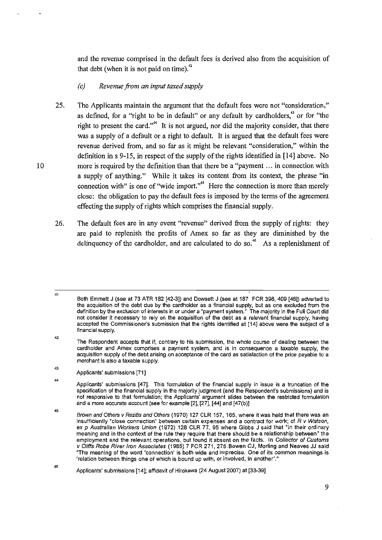and the revenue comprised in the default fees is derived also from the acquisition of that debt (when it is not paid on time). $42$ 

## *(e) Revenue from an input taxed supply*

- 25. The Applicants maintain the argument that the default fees were not "consideration," as defined, for a "right to be in default" or any default by cardholders,<sup>43</sup> or for "the right to present the card."<sup>44</sup> It is not argued, nor did the majority consider, that there was a supply of a default or a right to default. It is argued that the default fees were revenue derived from, and so far as it might be relevant "consideration," within the definition in s 9-15, in respect of the supply of the rights identified in [14] above. No more is required by the definition than that there be a "payment ... in connection with a supply of anything." While it takes its content from its context, the phrase "in connection with" is one of "wide import."<sup>45</sup> Here the connection is more than merely close: the obligation to pay the default fees is imposed by the terms of the agreement effecting the supply of rights which comprises the financial supply.
- 26. The default fees are in any event "revenue" derived from the supply of rights: they are paid to replenish the profits of Amex so far as they are diminished by the delinquency of the cardholder, and are calculated to do so.<sup>46</sup> As a replenishment of

41 Both Emmett J (see at 73 ATR 182 [42-3]) and Dowsett J (see at 187 FCR 398, 409 [46]) adverted to the acquisition of the debt due by the cardholder as a financial supply, but as one excluded from the **definition by the exclusion of interests in or under a "payment system." The majority in the Full Court did not consider it necessary to rely on the acquisition of the debt as a relevant financial supply, having**  accepted the Commissioner's submission that the rights identified at [14J above were the subject of a financial supply.

43 Applicants' submissions [71]

44

46

<sup>42</sup>  The Respondent accepts that if, contrary to his submission, the whole course of dealing between the **cardholder and Amex comprises a payment system, and is in consequence a taxable supply, the**  acquisition supply of the debt arising on acceptance of the card as satisfaction of the price payable to a merchant is also a taxable supply.

Applicants' submissions [47]. This formulation of the financial supply in issue is a truncation of the specification of the financial supply in the majority judgment (and the Respondent's submissions) and is not responsive to that formulation; the Applicants' argument slides between the restricted formulation and a more accurate account (see for example [2], [27], [44] and [47(b)]

<sup>45</sup>  Brown and Others v Rezitis and Others (1970) 127 CLR 157, 165, where it was held that there was an **insufficiently "close connection" between certain expenses and a contract for work; cf R** *v Watson***,** ex p Australian Workers Union (1972) 128 CLR 77, 95 where Gibbs J said that "in their ordinary meaning and in the context of the rule they require that there should be a relationship between" the employment and the relevant operations, but found it absent on the facts. In Collector of Customs v Cliffs Robe River Iron Associates (1985) 7 FCR 271,275 Bowen CJ, Morling and Neaves JJ said **"The meaning of the word 'connection' is both wide and imprecise. One of its common meanings is 'relation between things one** of which **is bound up with, or involved, in another'."** 

Applicants' submissions [14]; affidavit of Hirokawa (24 August 2007) at [33-391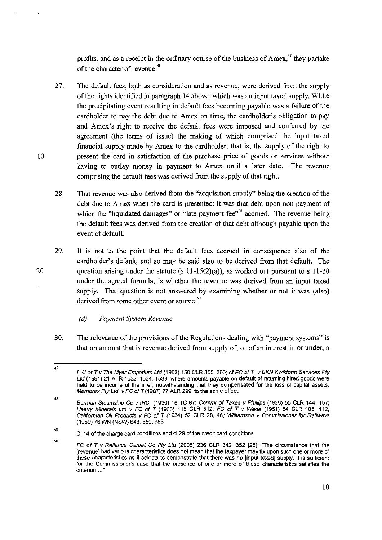profits, and as a receipt in the ordinary course of the business of Amex.<sup>47</sup> they partake of the character of revenue.<sup>48</sup>

- 27. The default fees, both as consideration and as revenue, were derived from the supply of the rights identified in paragraph 14 above, which was an input taxed supply. While the precipitating event resulting in default fees becoming payable was a failure of the cardholder to pay the debt due to Amex on time, the cardholder's obligation to pay and Amex's right to receive the default fees were imposed and conferred by the agreement (the terms of issue) the making of which comprised the input taxed financial supply made by Amex to the cardholder, that is, the supply of the right to present the card in satisfaction of the purchase price of goods or services without having to outlay money in payment to Amex until a later date. The revenue comprising the default fees was derived from the supply of that right.
- 28. That revenue was also derived from the "acquisition supply" being the creation of the debt due to Amex when the card is presented: it was that debt upon non-payment of which the "liquidated damages" or "late payment fee"<sup>99</sup> accrued. The revenue being the default fees was derived from the creation of that debt although payable upon the event of default.
- 29. It is not to the point that the default fees accrued in consequence also of the cardholder's default, and so may be said also to be derived from that default. The question arising under the statute (s  $11-15(2)(a)$ ), as worked out pursuant to s 11-30 under the agreed formula, is whether the revenue was derived from an input taxed supply. That question is not answered by examining whether or not it was (also) derived from some other event or source.<sup>50</sup>
	- *(d) Payment System Revenue*
- 30. The relevance of the provisions of the Regulations dealing with "payment systems" is that an amount that is revenue derived from supply of, or of an interest in or under, a

20

<sup>47</sup>  F C of T v The Myer Emporium Ltd (1982) 150 CLR 355, 366; cf FC of T v GKN Kwikform Services Ptv Ltd (1991) 21 ATR 1532, 1534, 1538, where amounts payable on default of returning hired goods were held to be income of the hirer. notwithstanding that they compensated for the loss of capital assets; Memorex Pty Ltd  $v$  FC of T (1987) 77 ALR 299, to the same effect.

<sup>48</sup>  Burmah Steamship Co v IRC (1930) 16 TC 67; Commr of Taxes v Phillips (1936) 55 CLR 144, 157; Heavy Minerals Lld v FC of T (1966) 115 CLR 512; FC of T v Wade (1951) 84 CLR 105, 112; Califomian Oil Products v FC of T (1934) 52 CLR 28, 46; Wilfiamson v Commissioner for Rai/ways (1959) 76 WN (NSW) 648,650,653

<sup>49</sup>  CI14 of the charge card conditions and cl 29 of the credit card conditions

<sup>50</sup>  FC of T v Reliance Carpet Co Pty Ltd (2008) 236 CLR 342, 352 [28]: "The circumstance that the **[revenue] had various characteristics does not mean that the taxpayer may fix upon such one or more of**  these characteristics as it selects to demonstrate that there was no [input taxed] supply. It is sufficient **for the Commissioner's case that the presence of one or more of these characteristics satisfies the criterion ... "**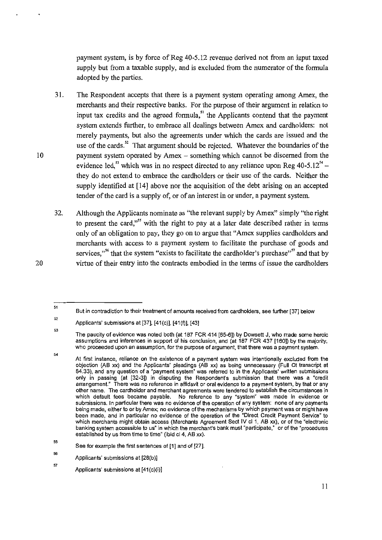payment system, is by force of Reg 40-5.12 revenue derived not from an input taxed supply but from a taxable supply, and is excluded from the numerator of the formula adopted by the parties.

- 31. The Respondent accepts tbat there is a payment system operating among Amex, tbe merchants and tbeir respective banks. For the purpose of their argument in relation to input tax credits and the agreed formula, $^{51}$  the Applicants contend that the payment system extends further, to embrace all dealings between Amex and cardholders: not merely payments, but also the agreements under which the cards are issued and tbe use of the cards.<sup>52</sup> That argument should be rejected. Whatever the boundaries of the payment system operated by Amex - something which cannot be discerned from the evidence led,<sup>33</sup> which was in no respect directed to any reliance upon Reg  $40-5.12^{34}$  – they do not extend to embrace the cardholders or their use of the cards. Neither the supply identified at [14] above nor the acquisition of the debt arising on an accepted tender of tbe card is a supply of, or of an interest in or under, a payment system.
- 32. Although the Applicants nominate as "the relevant supply by Amex" simply "the right to present the card,"<sup>55</sup> with the right to pay at a later date described rather in terms only of an obligation to pay, they go on to argue that "Amex supplies cardholders and merchants with access to a payment system to facilitate the purchase of goods and services,"<sup>56</sup> that the system "exists to facilitate the cardholder's purchase"<sup>57</sup> and that by virtue of their entry into the contracts embodied in the terms of issue the cardholders

<sup>51</sup>  **But in contradiction to their treatment of amounts received from cardholders, see further [37] below** 

<sup>52</sup>  Applicants' submissions at  $[37]$ ,  $[41(c)]$ ,  $[41(f)]$ ,  $[43]$ 

<sup>53</sup>  The paucity of evidence was noted both (at 187 FCR 414 [65-6]) by Dowsett J. who made some heroic assumptions and inferences in support of his conclusion. and (at 187 FCR 437 [160]) by the majority. who proceeded upon an assumption, for the purpose of argument, that there was a payment system.

<sup>54</sup>  **At first instance, reliance on the existence of a payment system was intentionally excluded from the**  objection (AB xx) and the Applicants' pleadings (AB xx) as being unnecessary (Full Ct transcript at 84.33), and any question of a "payment system" was referred to in the Applicants' written submissions only in passing (at [32-3]) in disputing the Respondent's submission that there was a "credit **arrangement." There was no reference in affidavit or oral evidence to a payment system, by that or any other name. The cardholder and merchant agreements were tendered to establish the circumstances in which default fees became payable. No reference to any "system" was made in evidence or**  submissions. In particular there was no evidence of the operation of any system: none of any payments **being made, either to or by Amex; no evidence of the mechanisms by which payment was or might have been made, and in particular no evidence of the operation of the "Direct Credit Payment Service" to**  which merchants might obtain access (Merchants Agreement Sect IV cl 1, AB xx), or of the "electronic **banking system accessible to us" in which the merchant's bank must "participate," or of the "procedures**  established by us from time to time" (ibid cl 4, AB xx).

<sup>55</sup>  See for example the first sentences of [1J and of [271.

<sup>56</sup>  Applicants' submissions at [28(b)]

<sup>57</sup>  Applicants' submissions at [41(c)(i)]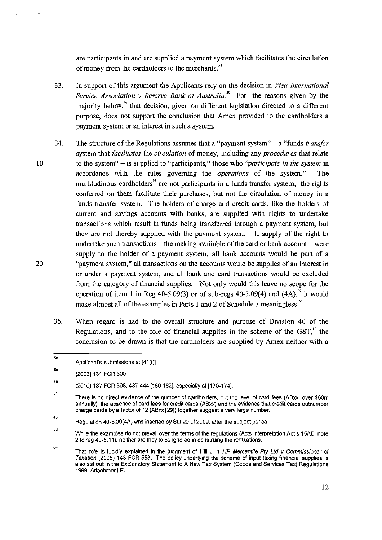are participants in and are supplied a payment system which facilitates the circulation of money from the cardholders to the merchants."

- 33. In support of this argument the Applicants rely on the decision in *Visa International Service Association* v *Reserve Bank of Australia."* For the reasons given by the majority below," that decision, given on different legislation directed to a different purpose, does not support the conclusion that Amex provided to the cardholders a payment system or an interest in such a system.
- 34. The structure of the Regulations assumes that a "payment system" a "funds *transfor*  system that *facilitates* the *circulation* of money, including any *procedures* that relate to the system" - is supplied to "participants," those who *"participate in the system* in accordance with the rules governing the *operations* of the system." The multitudinous cardholders<sup> $61$ </sup> are not participants in a funds transfer system; the rights conferred on them facilitate their purchases, but not the circulation of money in a funds transfer system. The holders of charge and credit cards, like the holders of current and savings accounts with banks, are supplied with rights to undertake transactions which result in funds being transferred through a payment system, but they are not thereby supplied with the payment system. If supply of the right to undertake such transactions  $-$  the making available of the card or bank account  $-$  were supply to the holder of a payment system, all bank accounts would be part of a "payment system," all transactions on the accounts would be supplies of an interest in or under a payment system, and all bank and card transactions would be excluded from the category of financial supplies. Not only would this leave no scope for the operation of item 1 in Reg 40-5.09(3) or of sub-regs 40-5.09(4) and  $(4A)$ ,  $^{62}$  it would make almost all of the examples in Parts 1 and 2 of Schedule 7 meaningless.<sup>43</sup>
	- 35. When regard is had to the overall structure and purpose of Division 40 of the Regulations, and to the role of financial supplies in the scheme of the GST.<sup>64</sup> the conclusion to be drawn is that the cardholders are supplied by Amex neither with a

<sup>58</sup>  Applicant's submissions at [41(f)]

<sup>59</sup>  (2003) 131 FeR 300

<sup>60</sup>  (2010) 187 FeR 398. 437-444 [160-182], especially at [170-174].

<sup>61</sup>  There is no direct evidence of the number of cardholders, but the level of card fees (ABxx, over \$50m annually), the absence of card fees for credit cards (ABxx) and the evidence that credit cards outnumber charge cards by a factor of 12 (ABxx [29]) together suggest a very large number.

<sup>62</sup>  Regulation 40-5.09(4A) was inserted by SLI 29 Of 2009, after the subject period.

<sup>63</sup>  While the examples do not prevail over the terms of the regulations (Acts Interpretation Act s 15AD, note 2 to reg 40-5.11), neither are they to be ignored in construing the regulations.

<sup>64</sup>  That role is lucidly explained in the judgment of Hill J in HP Mercantile Pty Ltd v Commissioner of Taxation (2005) 143 FCR 553. The policy underlying the scheme of input taxing financial supplies is also set out in the Explanatory Statement to A New Tax System (Goods and Services Tax) Regulations 1999, Attachment E.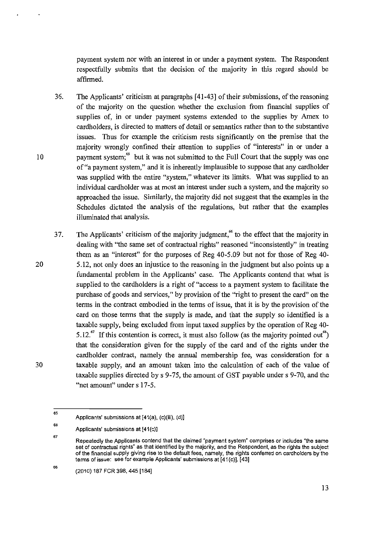payment system nor with an interest in or under a payment system. The Respondent respectfully submits that the decision of the majority in this regard should be affirmed.

- 36. The Applicants' criticism at paragraphs [41-43] of their submissions, of the reasoning of the majority on the question whether the exclusion from financial supplies of supplies of, in or under payment systems extended to the supplies by Amex to cardholders, is directed to matters of detail or semantics rather than to the substantive issues. Thus for example the criticism rests significantly on the premise that the majority wrongly confined their attention to supplies of "interests" in or under a payment system;<sup>65</sup> but it was not submitted to the Full Court that the supply was one of "a payment system," and it is inherently implausible to suppose that any cardholder was supplied with the entire "system," whatever its limits. What was supplied to an individual cardholder was at most an interest under such a system, and the majority so approached the issue. Similarly, the majority did not suggest that the examples in the Schedules dictated the analysis of the regulations, but rather that the examples illuminated that analysis.
- 37. The Applicants' criticism of the majority judgment," to the effect that the majority in dealing with "the same set of contractual rights" reasoned "inconsistently" in treating them as an "interest" for the purposes of Reg 40-5.09 but not for those of Reg 40- 5.12, not only does an injustice to the reasoning in the judgment but also points up a fundamental problem in the Applicants' case. The Applicants contend that what is supplied to the cardholders is a right of "access to a payment system to facilitate the purchase of goods and services," by provision of the "right to present the card" on the terms in the contract embodied in the terms of issue, that it is by the provision of the card on those terms that the supply is made, and that the supply so identified is a taxable supply, being excluded from input taxed supplies by the operation of Reg 40- 5.12. $\mathrm{^{67}}$  If this contention is correct, it must also follow (as the majority pointed out<sup>68</sup>) that the consideration given for the supply of the card and of the rights under the cardholder contract, namely the annual membership fee, was consideration for a taxable supply, and an amount taken into the calculation of each of the value of taxable supplies directed by s 9-75, the amount of GST payable under s 9-70, and the "net amount" under s 17-5.

10

20

30

<sup>65</sup>  Applicants' submissions at [41(a), (c)(iii), (d)]

<sup>66</sup>  Applicants' submissions at [41(c)]

<sup>67</sup>  Repeatedly the Applicants contend that the claimed "payment system" comprises or includes "the same set of contractual rights" as that identified by the majority, and the Respondent, as the rights the subject of the financial supply giving rise to the default fees, namely, the rights conferred on card holders by the terms of issue: see for example Applicants' submissions at [41 (c)], [43]

<sup>(2010) 187</sup> FeR 398, 445 [184]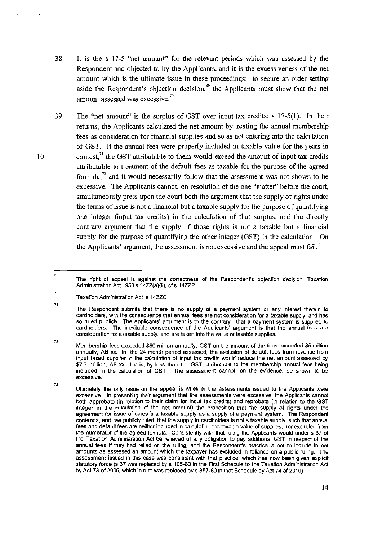- 38. It is the s 17-5 "net amount" for the relevant periods which was assessed by the Respondent and objected to by the Applicants, and it is the excessiveness of the net amount which is the ultimate issue in these proceedings: to secure an order setting aside the Respondent's objection decision," the Applicants must show that the net amount assessed was excessive."
- 39. The "net amount" is the surplus of GST over input tax credits: s 17-5(1). In their returns, the Applicants calculated the net amount by treating the annual membership fees as consideration for financial supplies and so as not entering into the calculation of GST. If the annual fees were properly included in taxable value for the years in contest, $^{71}$  the GST attributable to them would exceed the amount of input tax credits attributable to treatment of the default fees as taxable for the purpose of the agreed formula, $^{72}$  and it would necessarily follow that the assessment was not shown to be excessive. The Applicants cannot, on resolution of the one "matter" before the court, simultaneously press upon the court both the argument that the supply of rights under the terms of issue is not a financial but a taxable supply for the purpose of quantifying one integer (input tax credits) in the calculation of that surplus, and the directly contrary argument that the supply of those rights is not a taxable but a financial supply for the purpose of quantifying the other integer (GST) in the calculation. On the Applicants' argument, the assessment is not excessive and the appeal must fail.<sup>73</sup>

10

<sup>69</sup>  **The right of appeal is against the correctness of the Respondent's objection decision, Taxation**  Administration Act 1953 s 14ZZ(a)(ii), cf s 14ZZP

<sup>70</sup>  Taxation Administration Act s 14ZZ0

<sup>71</sup>  The Respondent submits that there is no supply of a payment system or any interest therein to card holders, with the consequence that annual fees are not consideration for a taxable supply, and has so ruled publicly. The Applicants' argument is to the contrary: that a payment system is supplied to card holders. **The inevitable consequence of the Applicants' argument is that the annual fees are consideration for a taxable supply, and are taken into the value of taxable supplies.** 

<sup>72</sup>  Membership fees exceeded \$50 million annually: GST on the amount of the fees exceeded \$5 million **annually, AB xx. In the 24 month period assessed, the exclusion of default fees from revenue from**  input taxed supplies in the calculation of input tax credits would reduce the net amount assessed by \$7.7 million, AB xx, that is, by less than the GST attributable to the membership annual fees being **included in the calculation of GST. The assessment cannot, on the evidence, be shown to be**  *excessive.* 

Ultimately the only issue on the appeal is whether the assessments issued to the Applicants were **excessive. In presenting their argument that the assessments were excessive, the Applicants cannot**  both approbate (in relation to their claim for input tax credits) and reprobate (in relation to the GST integer in the calculation of the net amount) the proposition that the supply of rights under the agreement for issue of cards is a taxable supply as a supply of a payment system. The Respondent contends, and has publicly ruled, that the supply to cardholders is not a taxable supply, such that annual fees and default fees are neither included in calculating the taxable value of supplies, nor excluded from the numerator of the agreed formula. Consistently with that ruling the Applicants would under s 37 of the Taxation Administration Act be relieved of any obligation to pay additional GST in respect of the annual fees if they had relied on the ruling, and the Respondent's practice is not to include in net **amounts as assessed an amount which the taxpayer has excluded in reliance on a public ruling. The assessment issued in this case was consistent with that practice, which has now been given explicit**  statutory force (s 37 was replaced by s 105-60 in the First Schedule to the Taxation Administration Act by Act 73 of 2006, which in turn was replaced by s 357-60 in that Schedule by Act 74 of 2010)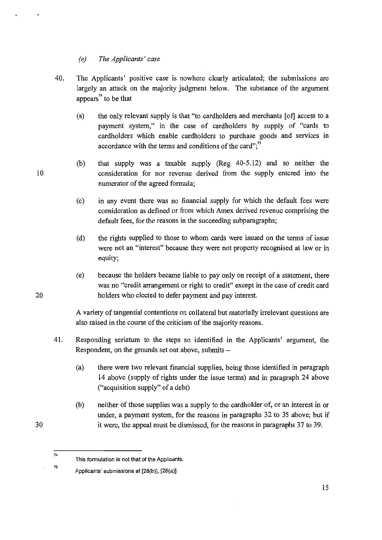## *(e) The Applicants' case*

- 40. The Applicants' positive case is nowhere clearly articulated; the submissions are largely an attack on the majority judgment below. The substance of the argument appears<sup> $74$ </sup> to be that
	- (a) the only relevant supply is that "to cardholders and merchants [of] access to a payment system," in the case of cardholders by supply of "cards to cardholders which enable cardholders to purchase goods and services in accordance with the terms and conditions of the card":<sup>75</sup>
	- (b) that supply was a taxable supply (Reg 40-5.12) and so neither the consideration for nor revenue derived from the supply entered into the numerator of the agreed formula;
	- (c) in any event there was no financial supply for which the default fees were consideration as defined or from which Amex derived revenue comprising the default fees, for the reasons in the succeeding subparagraphs;
	- (d) the rights supplied to those to whom cards were issued on the terms of issue were not an "interest" because they were not property recognised at law or in equity;
	- (e) because the holders became liable to pay only on receipt of a statement, there was no "credit arrangement or right to credit" except in the case of credit card holders who elected to defer payment and pay interest.

A variety of tangential contentions on collateral but materially irrelevant questions are also raised in the course of the criticism of the majority reasons.

- 41. Responding seriatum to the steps so identified in the Applicants' argument, the Respondent, on the grounds set out above, submits $-$ 
	- (a) there were two relevant financial supplies, being those identified in paragraph 14 above (supply of rights under the issue terms) and in paragraph 24 above ("acquisition supply" of a debt)
	- (b) neither of those supplies was a supply to the cardholder of, or an interest in or under, a payment system, for the reasons in paragraphs 32 to 35 above; but if it were, the appeal must be dismissed, for the reasons in paragraphs 37 to 39.

10

20

30

<sup>74</sup>  This formulation is not that of the Applicants.

Applicants' submissions at [28(b)], [28(a)]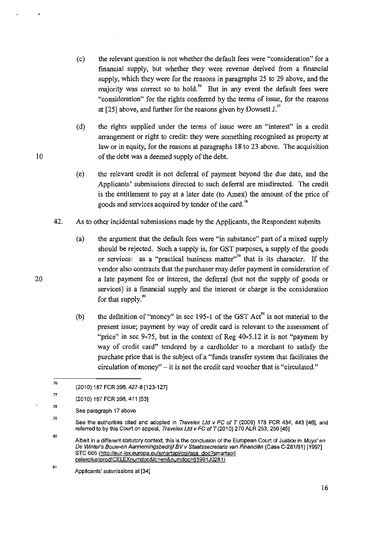- (c) the relevant question is not whether the default fees were "consideration" for a financial supply, but whether they were revenue derived from a financial supply, which they were for the reasons in paragraphs 25 to 29 above, and the majority was correct so to hold.<sup>76</sup> But in any event the default fees were "consideration" for the rights conferred by the terms of issue, for the reasons at [25] above, and further for the reasons given by Dowsett J."
- (d) the rights supplied under the terms of issue were an "interest" in a credit arrangement or right to credit: they were something recognised as property at law or in equity, for the reasons at paragraphs 18 to 23 above. The acquisition of the debt was a deemed supply of the debt.
- (e) the relevant credit is not deferral of payment beyond the due date, and the Applicants' submissions directed to such deferral are misdirected. The credit is the entitlement to pay at a later date (to Amex) the amount of the price of goods and services acquired by tender of the card. <sup>78</sup>
- 42. As to other incidental submissions made by the Applicants, the Respondent submits
	- (a) the argument that the default fees were "in substance" part of a mixed supply should be rejected. Such a supply is, for GST purposes, a supply of the goods or services: as a "practical business matter"<sup>,79</sup> that is its character. If the vendor also contracts that the purchaser may defer payment in consideration of a late payment fee or interest, the deferral (but not the supply of goods or services) is a financial supply and the interest or charge is the consideration for that supply. $80$
	- (b) the definition of "money" in sec 195-1 of the GST  $Act^{\$}$  is not material to the present issue; payment by way of credit card is relevant to the assessment of "price" in sec 9-75, but in the context of Reg 40-5.12 it is not "payment by way of credit card" tendered by a cardholder to a merchant to satisfy the purchase price that is the subject of a "funds transfer system that facilitates the circulation of money" - it is not the credit card voucher that is "circulated."

81

<sup>76</sup>  (2010) 187 FCR 398, 427-8 [123-127]

<sup>77</sup>  (2010) 187 FCR 398, 411 [53J

<sup>78</sup>  See paragraph 17 above

<sup>79</sup>  See the authorities cited and adopted in Travelex Ltd v FC of T (2009) 178 FCR 434, 443 [46], and referred to by this Court on appeal, Travelex Ltd v FC of *T* (2010) 270 ALR 253, 259 [45J

<sup>80</sup>  Albeit in a different statutory context, this is the conclusion of the European Court of Justice in Muys' en De Winter's Bouw-en Aannemingsbedrijf BV v Staatssecretans van Financien (Case C-281/91) [1997J **STC 665 (http://eur-Iex.europa.eu/smartapi/cqi/sga doc?smartapi!**  celexplus!prod! CELEXnumdoc&lg-en&numdoc=61991 J0281)

Applicants' submissions at [34J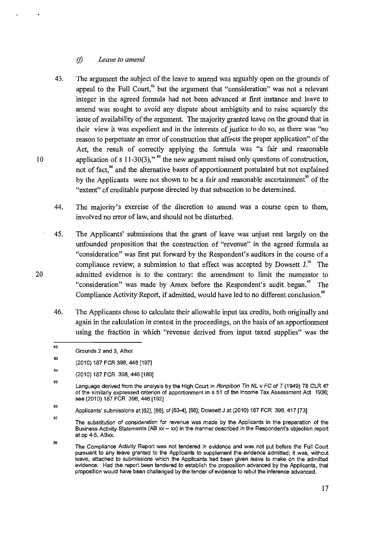### *(j) Leave to amend*

- 43. The argument the subject of the leave to amend was arguably open on the grounds of appeal to the Full Court.<sup>82</sup> but the argument that "consideration" was not a relevant integer in the agreed formula had not been advanced at first instance and leave to amend was sought to avoid any dispute about ambiguity and to raise squarely the issue of availability of the argument. The majority granted leave on the ground that in their view it was expedient and in the interests of justice to do so, as there was "no reason to perpetuate an error of construction that affects the proper application" of the Act, the result of correctly applying the formula was "a fair and reasonable application of s  $11-30(3)$ ,"<sup>83</sup> the new argument raised only questions of construction, not of fact,<sup>84</sup> and the alternative bases of apportionment postulated but not explained by the Applicants were not shown to be a fair and reasonable ascertainment" of the "extent" of creditable purpose directed by that subsection to be determined.
- 44. The majority's exercise of the discretion to amend was a course open to them, involved no error of law, and should not be disturbed.
- 45. The Applicants' submissions that the grant of leave was unjust rest largely on the unfounded proposition that the construction of "revenue" in the agreed formula as "consideration" was first put forward by the Respondent's auditors in the course of a compliance review; a submission to that effect was accepted by Dowsett J.<sup>86</sup> The admitted evidence is to the contrary: the amendment to limit the numerator to "consideration" was made by Amex before the Respondent's audit began." The Compliance Activity Report, if admitted, would have led to no different conclusion."
- 46. The Applicants chose to calculate their allowable input tax credits, both originally and again in the calculation in contest in the proceedings, on the basis of an apportionment using the fraction in which "revenue derived from input taxed supplies" was the

10

20

**84** 

86

**BR** 

**B2** Grounds 2 and 3, ABxx

<sup>83</sup>  (2010) 187 FCR 398, 448 [197J

<sup>(2010) 187</sup> FCR 398,446 [189J

<sup>85</sup>  Language derived from the analysis by the High Court in Ronpibon Tin NL v FC of T (1949) 78 CLR 47 of the similarly expressed criterion of apportionment in s 51 of the Income Tax Assessment Act 1936; see (2010) 187 FCR 398, 446 [192]

Applicants' submissions at [62], [66], cf [63-4], [68]; Dowsett J at (2010) 187 FCR 398, 417 [73]

<sup>87</sup>  The substitution of consideration for revenue was made by the Applicants in the preparation of the Business Activity Statements (AB  $xx - xx$ ) in the manner described in the Respondent's objection report at pp 4-5, ABxx.

The Compliance Activity Report was not tendered in evidence and was not put before the Full Court pursuant to any leave granted to the Applicants to supplement the evidence admitted; it was, without **leave, attached to submissions which the Applicants had been given leave to make on the admitted**  evidence. Had the report been tendered to establish the proposition advanced by the Applicants, that proposition would have been challenged by the tender of evidence to rebut the inference advanced.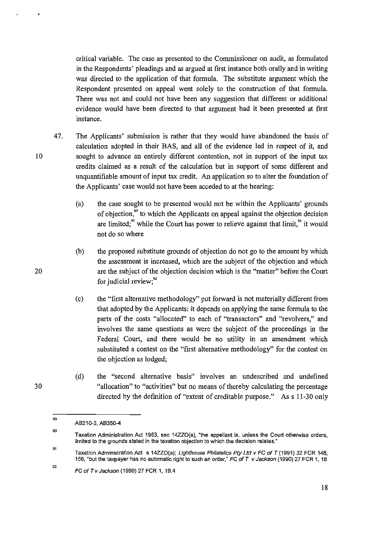critical variable. The case as presented to the Commissioner on audit, as formulated in the Respondents' pleadings and as argued at first instance both orally and in writing was directed to the application of that formula. The substitute argument which the Respondent presented on appeal went solely to the construction of that formula. There was not and could not have been any suggestion that different or additional evidence would have been directed to that argument had it been presented at first instance.

- 47. The Applicants' submission is rather that they would have abandoned the basis of calculation adopted in their BAS, and all of the evidence led in respect of it, and sought to advance an entirely different contention, not in support of the input tax credits claimed as a result of the calculation but in support of some different and unquantifiable amount of input tax credit. An application so to alter the foundation of the Applicants' case would not have been acceded to at the hearing:
	- (a) the case sought to be presented would not be within the Applicants' grounds of objection," to which the Applicants on appeal against the objection decision are limited; $\frac{1}{2}$  while the Court has power to relieve against that limit, $\frac{1}{2}$  it would not do so where
	- (b) the proposed substitute grounds of objection do not go to the amount by which the assessment is increased, which are the subject of the objection and which are the subject of the objection decision which is the "matter" before the Court for judicial review;<sup>92</sup>
	- (c) the "first alternative methodology" put forward is not materially different from that adopted by the Applicants: it depends on applying the same formula to the parts of the costs "allocated" to each of "transactors" and "revolvers," and involves the same questions as were the subject of the proceedings in the Federal Court, and there would be no utility in an amendment which substituted a contest on the "first alternative methodology" for the contest on the objection as lodged;
	- (d) the "second alternative basis" involves an undescribed and undefined "allocation" to "activities" but no means of thereby calculating the percentage directed by the definition of "extent of creditable purpose." As s 11-30 only

20

10

<sup>89</sup>  AB210-3. AB350-4

<sup>90</sup>  Taxation Administration Act 1953, sec 14ZZ0(a). "the appellant is. unless the Court otherwise orders, limited to the grounds stated in the taxation objection to which the decision relates."

<sup>91</sup>  Taxation Administration Act s 14ZZ0(a); Lighthouse Philatelics *pty* Lld v FC of T (1991) 32 FCR 148. 156, "but the taxpayer has no automatic right to such an order," FC of T v Jackson (1990) 27 FCR 1, 18

<sup>92</sup>  FC of Tv Jackson (1990) 27 FCR 1, 19.4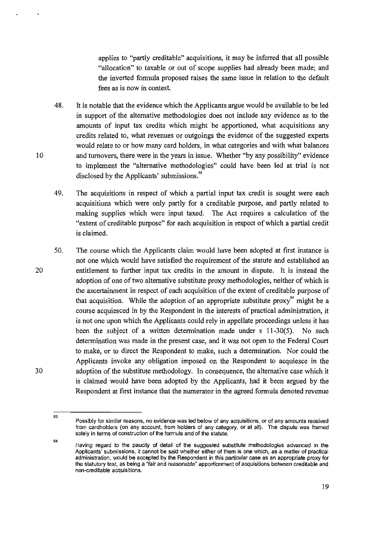applies to "partly creditable" acquisitions, it may be inferred that all possible "allocation" to taxable or out of scope supplies had already been made; and the inverted formula proposed raises the same issue in relation to the default fees as is now in contest.

- 48. It is notable that the evidence which the Applicants argue would be available to be led in support of the alternative methodologies does not include any evidence as to the amounts of input tax credits which might be apportioned, what acquisitions any credits related to, what revenues or outgoings the evidence of the suggested experts would relate to or how many card holders, in what categories and with what balances and turnovers, there were in the years in issue. Whether "by any possibility" evidence to implement the "alternative methodologies" could have been led at trial is not disclosed by the Applicants' submissions.<sup>93</sup>
- 49. The acquisitions in respect of which a partial input tax credit is sought were each acquisitions which were only partly for a creditable purpose, and partly related to making supplies which were input taxed. The Act requires a calculation of the "extent of creditable purpose" for each acquisition in respect of which a partial credit is claimed.
- 50. The course which the Applicants claim would have been adopted at first instance is not one which would have satisfied the requirement of the statute and established an entitlement to further input tax credits in the amount in dispute. It is instead the adoption of one of two alternative substitute proxy methodologies, neither of which is the ascertainment in respect of each acquisition of the extent of creditable purpose of that acquisition. While the adoption of an appropriate substitute proxy<sup>94</sup> might be a course acquiesced in by the Respondent in the interests of practical administration, it is not one upon which the Applicants could rely in appellate proceedings unless it has been the subject of a written determination made under s 11-30(5). No such determination was made in the present case, and it was not open to the Federal Court to make, or to direct the Respondent to make, such a determination. Nor could the Applicants invoke any obligation imposed on the Respondent to acquiesce in the adoption of the substitute methodology. In consequence, the alternative case which it is claimed would have been adopted by the Applicants, had it been argued by the Respondent at first instance that the numerator in the agreed formula denoted revenue

10

20

30

Possibly for similar reasons, no evidence was led below of any acquisitions, or of any amounts received from cardholders (on any account, from holders of any category, or at all). The dispute was framed solely in terms of construction of the formula and of the statute.

<sup>94</sup>  Having regard to the paucity of detail of the suggested substitute methodologies advanced in the **Applicants' submissions, it cannot be said whether either of them is one which, as a matter of practical**  administration, would be accepted by the Respondent in this particular case as an appropriate proxy for the statutory test, as being a "fair and reasonable" apportionment of acquisitions between creditable and **non-creditable acquisitions.**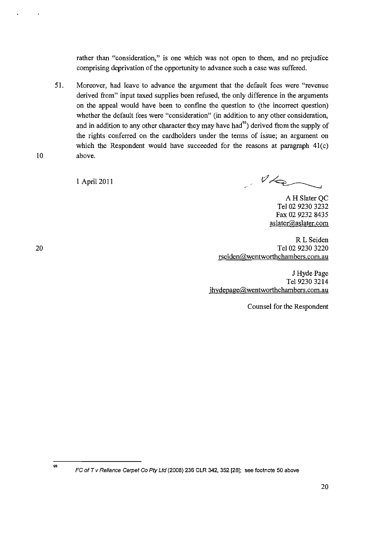rather than "consideration," is one which was not open to them, and no prejudice comprising deprivation of the opportunity to advance such a case was suffered.

51. Moreover, had leave to advance the argument that the default fees were "revenue derived from" input taxed supplies been refused, the only difference in the arguments on the appeal would have been to confine the question to (the incorrect question) whether the default fees were "consideration" (in addition to any other consideration, and in addition to any other character they may have had<sup>95</sup>) derived from the supply of the rights conferred on the cardholders under the terms of issue; an argument on which the Respondent would have succeeded for the reasons at paragraph  $41(c)$ above.

1 April 2011

 $\mathscr{V}\nmid_{\mathsf{Q}}$ 

A H Slater OC Tel 02 9230 3232 Fax 02 9232 8435 aslater@aslater.com

RL Seiden Tel 02 9230 3220 rseiden@wentworthchambers.com.au

J Hyde Page Tel 9230 3214 jhydepage@wentworthchambers.com.au

Counsel for the Respondent

95

10

FC of T v Reliance Carpet Co Pty Ltd (2008) 236 CLR 342, 352 [28]; see footnote 50 above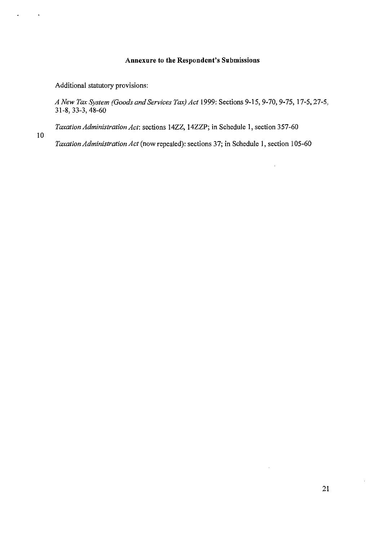## **Annexure to the Respondent's Submissions**

Additional statutory provisions:

10

*A New Tax System (Goods and Services Tax) Act* 1999: Sections 9-15, 9-70, 9-75, 17-5,27-5, 31-8, 33-3, 48-60

 $\overline{\phantom{a}}$ 

*Taxation Administration Act:* sections 14ZZ, 14ZZP; in Schedule I, section 357-60

*Taxation Administration Act* (now repealed): sections 37; in Schedule I, section 105-60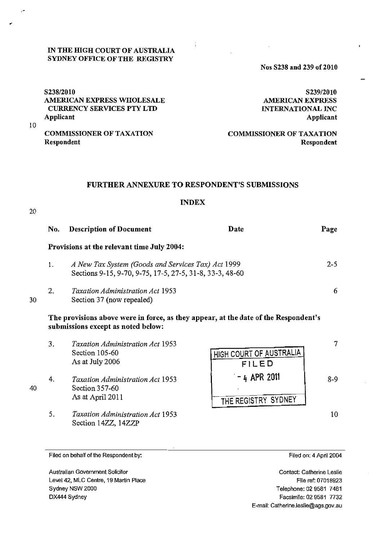### IN THE mGH COURT OF AUSTRALIA SYDNEY OFFICE OF THE REGISTRY

Nos S238 and 239 of 2010

*S238/2010*  AMERICAN EXPRESS WHOLESALE CURRENCY SERVICES PTY LTD Applicant

S239/2010 AMERICAN EXPRESS INTERNATIONAL INC Applicant

COMMISSIONER OF TAXATION Respondent

COMMISSIONER OF TAXATION Respondent

### FURTHER ANNEXURE TO RESPONDENT'S SUBMISSIONS

## INDEX

20

30

40

10

,"

| No. | <b>Description of Document</b>                                                                                 | Date | Page    |
|-----|----------------------------------------------------------------------------------------------------------------|------|---------|
|     | <b>Provisions at the relevant time July 2004:</b>                                                              |      |         |
| 1.  | A New Tax System (Goods and Services Tax) Act 1999<br>Sections 9-15, 9-70, 9-75, 17-5, 27-5, 31-8, 33-3, 48-60 |      | $2 - 5$ |
| 2.  | <b>Taxation Administration Act 1953</b><br>Section 37 (now repealed)                                           |      | 6       |

## The provisions above were in force, as they appear, at the date of the Respondent's submissions except as noted below:

3. 4. 5. *Taxation Administration Act 1953*  Section 105-60 As at July 2006 *Taxation Administration Act 1953*  Section 357-60 As at Apri12011 *Taxation Administration Act 1953*  Section 14ZZ, 14ZZP HIGH COURT OF AUSTRALIA FILED  $-4$  APR 2011 THE REGISTRY SYDNEY 7 8-9 10

Filed on behalf of the Respondent by:

Australian Govemment Solicitor Level 42, MLC Centre, 19 Martin Place Sydney NSW 2000 DX444 Sydney

Filed on: 4 April 2004

Contact: Catherine Leslie File ref: 07018923 Telephone: 02 9581 7481 Facsimile: 02 9581 7732 E-mail: Catherine.leslie@ags.gov.au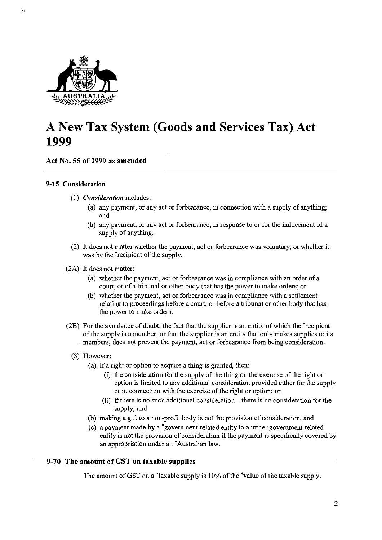

t,

# **A New Tax System (Goods and Services Tax) Act 1999**

Act No. 55 of 1999 as amended

#### 9-15 Consideration

- *(1) Consideration* includes:
	- (a) any payment, or any act or forbearance, in connection with a supply of anything; and
	- (b) any payment, or any act or forbearance, in response to or for the inducement of a supply of anything.
- (2) It does not matter whether the payment, act or forbearance was voluntary, or whether it was by the <sup>\*</sup>recipient of the supply.
- (2A) It does not matter:
	- (a) whether the payment, act or forbearance was in compliance with an order of a court, or of a tribunal or other body that has the power to make orders; or
	- (b) whether the payment, act or forbearance was in compliance with a settlement relating to proceedings before a court, or before a tribunal or other body that has the power to make orders.
- (2B) For the avoidance of doubt, the fact that the supplier is an entity of which the 'recipient of the supply is a member, or that the supplier is an entity that only makes supplies to its members, does not prevent the payment, act or forbearance from being consideration.
	- (3) However:
		- (a) if a right or option to acquire a thing is granted, then:
			- (i) the consideration for the supply of the thing on the exercise of the right or option is limited to any additional consideration provided either for the supply or in connection with the exercise of the right or option; or
			- (ii) if there is no such additional consideration—there is no consideration for the supply; and
		- (b) making a gift to a non-profit body is not the provision of consideration; and
		- ( c) a payment made by a 'government related entity to another government related entity is not the provision of consideration if the payment is specifically covered by an appropriation under an 'Australian law.

## 9-70 The amount of GST on taxable supplies

The amount of GST on a \*taxable supply is 10% of the \*value of the taxable supply.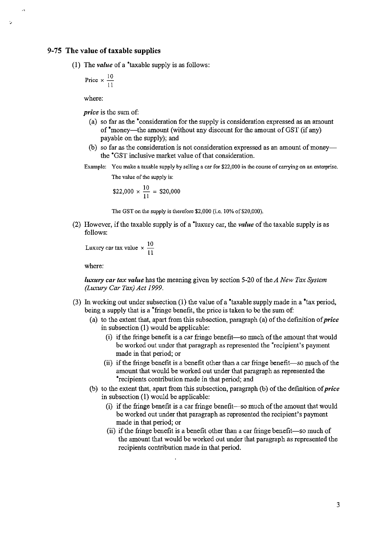#### **9-75 The value of taxable supplies**

را

(1) The *value* ofa \*taxable supply is as follows:

$$
Price \times \frac{10}{11}
$$

where:

*price* is the sum of:

- (a) so far as the \*consideration for the supply is consideration expressed as an amount of \*money-the amount (without any discount for the amount of GST (if any) payable on the supply); and
- (b) so far as the consideration is not consideration expressed as an amount of moneythe \*GST inclusive market value of that consideration.
- **Example: You make a taxable supply by selling a car for \$22,000 in the course of carrying on an enterprise.**

**The value** of the **supply is:** 

 $$22,000 \times \frac{10}{11} = $20,000$ 

The GST on the supply is therefore \$2,000 (i.e. 10% of \$20,000).

(2) However, if the taxable supply is of a \*luxury car, the *value* of the taxable supply is as follows:

```
Luxury car tax value \times \frac{10}{11}
```
where:

*luxury car tax value* has the meaning given by section 5-20 of the *A New Tax System (Luxury Car Tax) Act 1999.* 

- (3) In working out under subsection (1) the value of a \*taxable supply made in a \*tax period, being a supply that is a \*fringe benefit, the price is taken to be the sum of:
	- (a) to the extent that, apart from this subsection, paragraph (a) of the definition of *price*  in subsection (1) would be applicable:
		- (i) if the fringe benefit is a car fringe benefit-so much of the amount that would be worked out under that paragraph as represented the \*recipient's payment made in that period; or
		- (ii) if the fringe benefit is a benefit other than a car fringe benefit-so much of the amount that would be worked out under that paragraph as represented the \*recipients contribution made in that period; and
	- (b) to the extent that, apart from this subsection, paragraph (b) of the definition of *price*  in subsection (l) would be applicable:
		- $(i)$  if the fringe benefit is a car fringe benefit—so much of the amount that would be worked out under that paragraph as represented the recipient's payment made in that period; or
		- (ii) if the fringe benefit is a benefit other than a car fringe benefit-so much of the amount that would be worked out under that paragraph as represented the recipients contribution made in that period.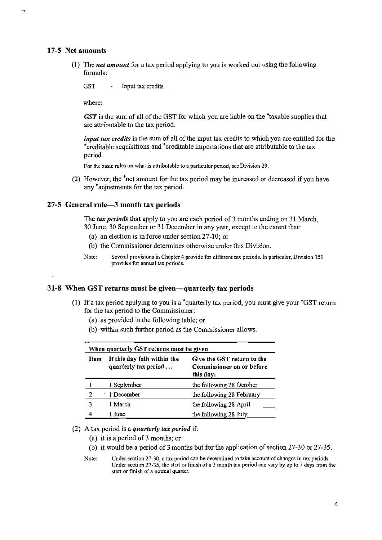#### 17-5 Net amounts

(1) The *net amount* for a tax period applying to you is worked out using the following fonnula:

GST - Input tax credits

where:

GST is the sum of all of the GST for which you are liable on the 'taxable supplies that are attributable to the tax period.

*input tax credits* is the sum of all of the input tax credits to which you are entitled for the 'creditable acquisitions and 'creditable importations that are attributable to the tax period.

For the basic rules on what is attributable to a particular period, see Division 29.

(2) However, the 'net amount for the tax period may be increased or decreased if you have any 'adjustments for the tax period.

#### $27-5$  General rule- $-3$  month tax periods

The *tax periods* that apply to you are each period of 3 months ending on 31 March, 30 June, 30 September or 31 December in any year, except to the extent that:

- (a) an election is in force under section  $27-10$ ; or
- (b) the Commissioner determines otherwise under this Division.
- Note: Several provisions in Chapter 4 provide for different tax periods. In particular, Division 151 provides for annual tax periods.

#### 31-8 When GST returns must be given—quarterly tax periods

- (1) If a tax period applying to you is a  $*$ quarterly tax period, you must give your  $*$ GST return for the tax period to the Commissioner:
	- (a) as provided in the following table; or
	- (b) within such further period as the Commissioner allows.

| When quarterly GST returns must be given |                                                      |                                                                      |  |  |
|------------------------------------------|------------------------------------------------------|----------------------------------------------------------------------|--|--|
| <b>Item</b>                              | If this day falls within the<br>quarterly tax period | Give the GST return to the<br>Commissioner on or before<br>this day: |  |  |
|                                          | 1 September                                          | the following 28 October                                             |  |  |
| 2                                        | 1 December                                           | the following 28 February                                            |  |  |
| 3                                        | 1 March                                              | the following 28 April                                               |  |  |
|                                          | June                                                 | the following 28 July                                                |  |  |

#### (2) A tax period is a *quarterly tax period* if:

- (a) it is a period of 3 months; or
- (b) it would be a period of 3 months but for the application of section 27 -30 or 27-35.
- Note: Under section 27-30, a tax period can be detennined to take account of changes in tax periods. Under section 27-35, the start or finish of a 3 month tax period can vary by up to 7 days from the start or finish of a normal quarter.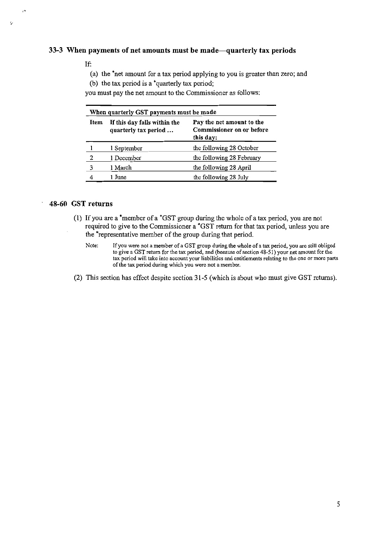## 33-3 When payments of net amounts must be made—quarterly tax periods

#### If:

(a) the 'net amount for a tax period applying to you is greater than zero; and

(b) the tax period is a 'quarterly tax period;

you must pay the net amount to the Commissioner as follows:

| When quarterly GST payments must be made |                                                      |                                                                     |  |  |
|------------------------------------------|------------------------------------------------------|---------------------------------------------------------------------|--|--|
| <b>Item</b>                              | If this day falls within the<br>quarterly tax period | Pay the net amount to the<br>Commissioner on or before<br>this day: |  |  |
|                                          | 1 September                                          | the following 28 October                                            |  |  |
| 2                                        | 1 December                                           | the following 28 February                                           |  |  |
|                                          | 1 March                                              | the following 28 April                                              |  |  |
|                                          | 1 June                                               | the following 28 July                                               |  |  |

## 48-60 GST returns

- (l) If you are a 'member of a 'GST group during the whole of a tax period, you are not required to give to the Commissioner a 'GST return for that tax period, unless you are the 'representative member of the group during that period.
	- Note: If you were not a member of a GST group during the whole of a tax period, you are still obliged to give a GST return for the tax period, and (because of section 48-51) your net amount for the tax period will take into account your liabilities and entitlements relating to the one or more parts of the tax period during which you were not a member.
- (2) This section has effect despite section 31-5 (which is about who must give GST returns).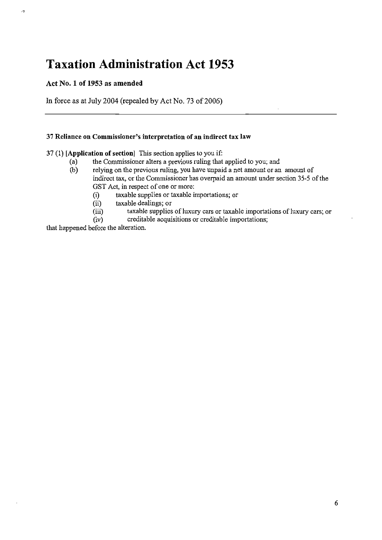# **Taxation Administration Act 1953**

## Act No. 1 of 1953 as amended

.,

In force as at July 2004 (repealed by Act No. 73 of 2006)

## 37 Reliance on Commissioner's interpretation of an indirect tax law

37 (1) [Application of section] This section applies to you if:

- (a) the Commissioner alters a previous ruling that applied to you; and
- (b) relying on the previous ruling, you have unpaid a net amount or an amount of indirect tax, or the Commissioner has overpaid an amount under section 35-5 of the GST Act, in respect of one or more:
	- (i) taxable supplies or taxable importations; or
	- (ii) taxable dealings; or
	- (iii) taxable supplies of luxury cars or taxable importations of luxury cars; or
	- (iv) creditable acquisitions or creditable importations;

that happened before the alteration.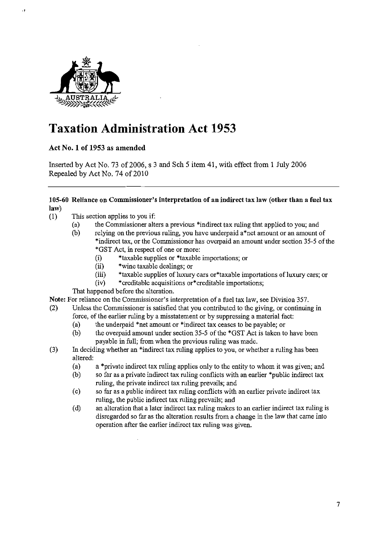

, ,

# **Taxation Administration Act 1953**

## Act No. 1 of 1953 as amended

Inserted by Act No. 73 of 2006, s 3 and Sch 5 item 41, with effect from 1 July 2006 Repealed by Act No. 74 of 2010

## 105-60 Reliance on Commissioner's interpretation of an indirect tax law (other than a fnel tax law)

- (1) This section applies to you if:
	- (a) the Commissioner alters a previous 'indirect tax ruling that applied to you; and
	- (b) relying on the previous ruling, you have underpaid a\*net amount or an amount of 'indirect tax, or the Commissioner has overpaid an amount under section 35-5 of the \*GST Act, in respect of one or more:
		- (i) \*taxable supplies or \*taxable importations; or
		- (ii) \*wine taxable dealings; or
		- (iii)  $*$ taxable supplies of luxury cars or  $*$ taxable importations of luxury cars; or
		- (iv) \*creditable acquisitions or\*creditable importations;

That happened before the alteration.

Note: For reliance on the Commissioner's interpretation of a fuel tax law, see Division 357.

- (2) Unless the Commissioner is satisfied that you contributed to the giving, or continuing in force, of the earlier ruling by a misstatement or by suppressing a material fact:
	- (a) the underpaid \*net amount or \*indirect tax ceases to be payable; or
	- (b) the overpaid amount under section 35-5 of the \*GST Act is taken to have been payable in full; from when the previous ruling was made.
- (3) In deciding whether an \*indirect tax ruling applies to you, or whether a ruling has been altered:
	- (a) a \*private indirect tax ruling applies only to the entity to whom it was given; and
	- (b) so far as a private indirect tax ruling conflicts with an earlier \*public indirect tax ruling, the private indirect tax ruling prevails; and
	- (c) so far as a public indirect tax ruling conflicts with an earlier private indirect tax ruling, the public indirect tax ruling prevails; and
	- (d) an alteration that a later indirect tax ruling makes to an earlier indirect tax ruling is disregarded so far as the alteration results from a change in the law that came into operation after the earlier indirect tax ruling was given.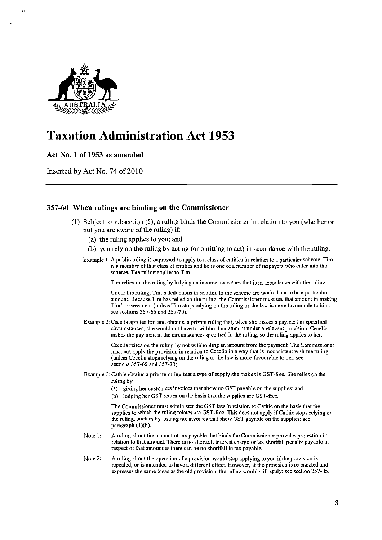

 $, \, \cdot$ 

# Taxation Administration Act 1953

## Act No. 1 of 1953 as amended

Inserted by Act No. 74 of 2010

## 357-60 When rulings are binding on the Commissioner

- (1) Subject to subsection (5), a ruling binds the Commissioner in relation to you (whether or not you are aware of the ruling) if:
	- (a) the ruling applies to you; and
	- (b) you rely on the ruling by acting (or omitting to act) in accordance with the ruling.

Example 1: A public ruling is expressed to apply to a class of entities in relation to a particular scheme. Tim is a member of that class of entities and he is one of a number of taxpayers who enter into that scheme. The.ruling applies to Tim.

Tim relies on the ruling by lodging an income tax return that is in accordance with the ruling.

Under the ruling, Tim's deductions in relation to the scheme are worked out to be a particular amount. Because Tim has relied on the ruling, the Commissioner must use that amount in making Tim's assessment (unless Tim stops relying on the ruling or the law is more favourable to him: see sections 357-65 and 357-70).

Example 2: Cecelia applies for, and obtains, a private ruling that, when she makes a payment in specified circumstances, she would not have to withhold an amount under a relevant provision. Cecelia makes the payment in the circumstances specified in the ruling, so the ruling applies to her.

> Cecelia relies on the ruling by not withholding an amount from the payment. The Commissioner must not apply the provision in relation to Cecelia in a way that is inconsistent with the ruling (unless Cecelia stops relying on the ruling or the law is more favourable to her: see sections 357-65 and 357-70).

- Example 3: Cathie obtains a private ruling that a type of supply she makes is GST -free. She relies on the ruling by:
	- (a) giving her customers invoices that show no GST payable on the supplies; and
	- (b) lodging her GST return on the basis that the supplies are GST-free.

The Commissioner must administer the GST law in relation to Cathie on the basis that the supplies to which the ruling relates are GST-free. This does not apply if Cathie stops relying on the ruling, such as by issuing tax invoices that show GST payable on the supplies: see paragraph  $(1)(b)$ .

- Note I: A ruling about the amount of tax payable that binds the Commissioner provides protection in relation to that amount. There is no shortfall interest charge or tax shortfall penalty payable in respect of that amount as there can be no shortfall in tax payable.
- Note 2: A ruling about the operation of a provision would stop applying to you if the provision is repealed, or is amended to have a different effect. However, if the provision is re-enacted and expresses the same ideas as the old provision, the ruling would still apply: see section 357-85.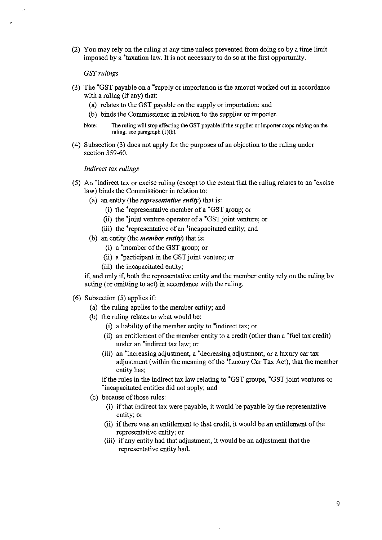(2) You may rely on the ruling at any time unless prevented from doing so by a time limit imposed by a \*taxation law, It is not necessary to do so at the fIrst opportunity,

*GSTrulings* 

"

 $\ddot{\phantom{0}}$ 

- (3) The \*GST payable on a \*supply or importation is the amount worked out in accordance with a ruling (if any) that:
	- (a) relates to the GST payable on the supply or importation; and
	- (b) binds the Commissioner in relation to the supplier or importer,
	- **Note: The ruling will stop affecting the GST payable** if the **supplier or importer stops relying on the**  ruling: see paragraph (1)(b).
- (4) Subsection (3) does not apply for the purposes of an objection to the ruling under section 359-60.

#### *Indirect tax rulings*

- (5) An \*indirect tax or excise ruling (except to the extent that the ruling relates to an \*excise law) binds the Commissioner in relation to:
	- ( a) an entity (the *representative entity)* that is:
		- (i) the \*representative member of a \*GST group; or
		- (ii) the  $*$ joint venture operator of a  $*$ GST joint venture; or
		- (iii) the \*representative of an 'incapacitated entity; and
	- (b) an entity (the *member entity)* that is:
		- (i) a \*member of the GST group; or
		- (ii) a 'participant in the GST joint venture; or
		- (iii) the incapacitated entity;

if, and only if, both the representative entity and the member entity rely on the ruling by acting (or omitting to act) in accordance with the ruling.

### (6) Subsection (5) applies if:

- (a) the ruling applies to the member entity; and
- (b) the ruling relates to what would be:
	- (i) a liability of the member entity to 'indirect tax; or
	- (ii) an entitlement of the member entity to a credit (other than a 'fuel tax credit) under an 'indirect tax law; or
	- (iii) an 'increasing adjustment, a 'decreasing adjustment, or a luxury car tax adjustment (within the meaning of the 'Luxury Car Tax Act), that the member entity has;

if the rules in the indirect tax law relating to 'GST groups, \*GST joint ventures or \*incapacitated entities did not apply; and

- (c) because of those rules:
	- (i) if that indirect tax were payable, it would be payable by the representative entity; or
	- (ii) if there was an entitlement to that credit, it would be an entitlement of the representative entity; or
	- (iii) if any entity had that adjustment, it would be an adjustment that the representative entity had.